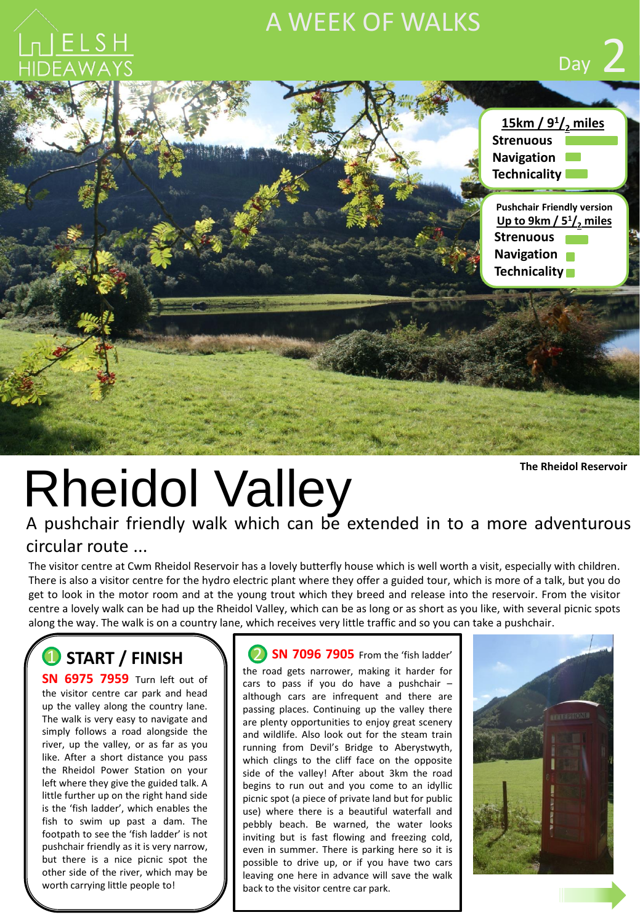## A WEEK OF WALKS



**The Rheidol Reservoir**

# Rheidol Valley

A pushchair friendly walk which can be extended in to a more adventurous circular route ...

The visitor centre at Cwm Rheidol Reservoir has a lovely butterfly house which is well worth a visit, especially with children. There is also a visitor centre for the hydro electric plant where they offer a guided tour, which is more of a talk, but you do get to look in the motor room and at the young trout which they breed and release into the reservoir. From the visitor centre a lovely walk can be had up the Rheidol Valley, which can be as long or as short as you like, with several picnic spots along the way. The walk is on a country lane, which receives very little traffic and so you can take a pushchair.

## **1** START / FINISH 1

**SN 6975 7959** Turn left out of the visitor centre car park and head up the valley along the country lane. The walk is very easy to navigate and simply follows a road alongside the river, up the valley, or as far as you like. After a short distance you pass the Rheidol Power Station on your left where they give the guided talk. A little further up on the right hand side is the 'fish ladder', which enables the fish to swim up past a dam. The footpath to see the 'fish ladder' is not pushchair friendly as it is very narrow, but there is a nice picnic spot the other side of the river, which may be worth carrying little people to!

**2 SN 7096 7905** From the 'fish ladder' the road gets narrower, making it harder for cars to pass if you do have a pushchair  $$ although cars are infrequent and there are passing places. Continuing up the valley there are plenty opportunities to enjoy great scenery and wildlife. Also look out for the steam train running from Devil's Bridge to Aberystwyth, which clings to the cliff face on the opposite side of the valley! After about 3km the road begins to run out and you come to an idyllic picnic spot (a piece of private land but for public use) where there is a beautiful waterfall and pebbly beach. Be warned, the water looks inviting but is fast flowing and freezing cold, even in summer. There is parking here so it is possible to drive up, or if you have two cars leaving one here in advance will save the walk back to the visitor centre car park.